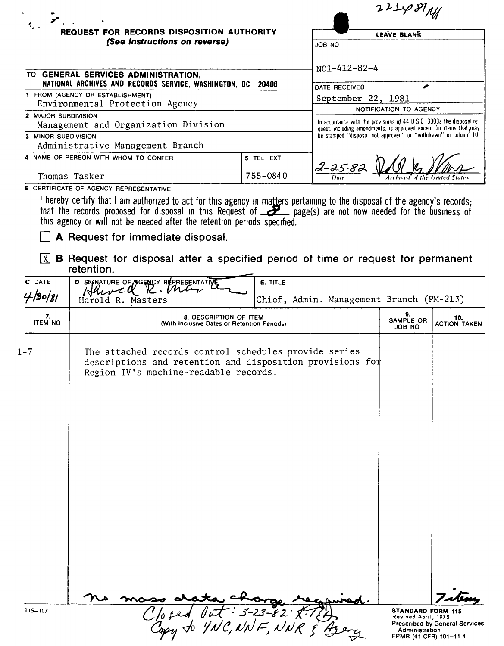|                      |                                                                                                                                                                                                                                                                                                                                                     |                          |                                                                                                                                      | 22248                                           |                                |
|----------------------|-----------------------------------------------------------------------------------------------------------------------------------------------------------------------------------------------------------------------------------------------------------------------------------------------------------------------------------------------------|--------------------------|--------------------------------------------------------------------------------------------------------------------------------------|-------------------------------------------------|--------------------------------|
|                      | REQUEST FOR RECORDS DISPOSITION AUTHORITY                                                                                                                                                                                                                                                                                                           |                          |                                                                                                                                      | <b>LEAVE BLANK</b>                              |                                |
|                      | (See Instructions on reverse)                                                                                                                                                                                                                                                                                                                       |                          | JOB NO                                                                                                                               |                                                 |                                |
|                      | TO GENERAL SERVICES ADMINISTRATION,                                                                                                                                                                                                                                                                                                                 |                          | $NC1 - 412 - 82 - 4$                                                                                                                 |                                                 |                                |
|                      | NATIONAL ARCHIVES AND RECORDS SERVICE, WASHINGTON, DC 20408<br>1 FROM (AGENCY OR ESTABLISHMENT)                                                                                                                                                                                                                                                     |                          | DATE RECEIVED                                                                                                                        |                                                 |                                |
|                      | Environmental Protection Agency                                                                                                                                                                                                                                                                                                                     |                          | September 22, 1981                                                                                                                   | NOTIFICATION TO AGENCY                          |                                |
| 2 MAJOR SUBDIVISION  | Management and Organization Division                                                                                                                                                                                                                                                                                                                |                          | In accordance with the provisions of 44 U.S.C. 3303a the disposal re-                                                                |                                                 |                                |
| 3 MINOR SUBDIVISION  |                                                                                                                                                                                                                                                                                                                                                     |                          | quest, including amendments, is approved except for items that may<br>be stamped "disposa! not approved" or "withdrawn" in column 10 |                                                 |                                |
|                      | Administrative Management Branch                                                                                                                                                                                                                                                                                                                    |                          |                                                                                                                                      |                                                 |                                |
|                      | 4 NAME OF PERSON WITH WHOM TO CONFER                                                                                                                                                                                                                                                                                                                | 5 TEL EXT                | 2-25-82                                                                                                                              |                                                 |                                |
|                      | Thomas Tasker                                                                                                                                                                                                                                                                                                                                       | 755-0840                 |                                                                                                                                      |                                                 |                                |
|                      | 6 CERTIFICATE OF AGENCY REPRESENTATIVE                                                                                                                                                                                                                                                                                                              |                          |                                                                                                                                      |                                                 |                                |
|                      | I hereby certify that I am authorized to act for this agency in matters pertaining to the disposal of the agency's records;<br>that the records proposed for disposal in this Request of $\sum$ page(s) are not now needed for the<br>this agency or will not be needed after the retention periods specified.<br>A Request for immediate disposal. |                          |                                                                                                                                      |                                                 |                                |
| $\lfloor x \rfloor$  | <b>B</b> Request for disposal after a specified period of time or request for permanent<br>retention.                                                                                                                                                                                                                                               |                          |                                                                                                                                      |                                                 |                                |
| C DATE               | D SIGNATURE OF AGENCY REPRESENTATIVE<br>Hawell R. Mar                                                                                                                                                                                                                                                                                               | <b>E. TITLE</b>          |                                                                                                                                      |                                                 |                                |
| 4/30/81              | Harold R. Masters                                                                                                                                                                                                                                                                                                                                   |                          | Chief, Admin. Management Branch (PM-213)                                                                                             |                                                 |                                |
| 7.<br><b>ITEM NO</b> | 8. DESCRIPTION OF ITEM<br>(With Inclusive Dates or Retention Periods)                                                                                                                                                                                                                                                                               |                          |                                                                                                                                      | 9.<br>SAMPLE OR<br>JOB NO                       | 10.<br><b>ACTION TAKEN</b>     |
| $1 - 7$              | The attached records control schedules provide series<br>descriptions and retention and disposition provisions for<br>Region IV's machine-readable records.                                                                                                                                                                                         |                          |                                                                                                                                      |                                                 |                                |
| $115 - 107$          |                                                                                                                                                                                                                                                                                                                                                     | $lut$ = 3 - 23 - 82 : 1. |                                                                                                                                      | <b>STANDARD FORM 115</b><br>Revised April, 1975 |                                |
|                      | Closed Vat - 5-20-02,                                                                                                                                                                                                                                                                                                                               |                          |                                                                                                                                      | Administration<br>FPMR (41 CFR) 101-11 4        | Prescribed by General Services |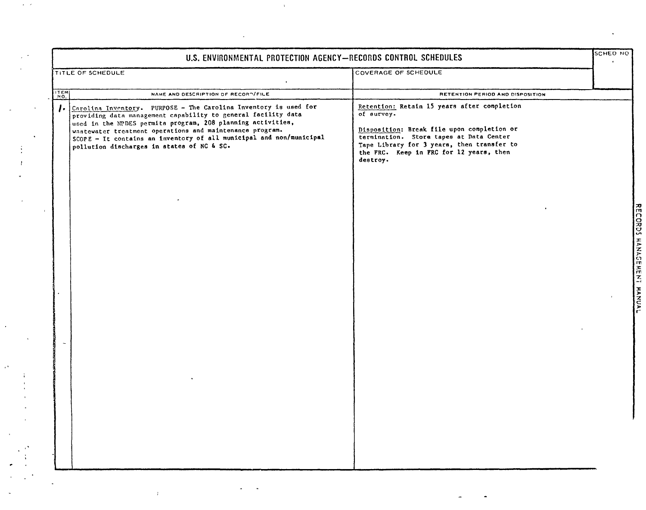|                   | TITLE OF SCHEDULE                                                                                                                                                                                                                                                                                                                                                                 | COVERAGE OF SCHEDULE                                                                                                                                                                                                                                    |  |
|-------------------|-----------------------------------------------------------------------------------------------------------------------------------------------------------------------------------------------------------------------------------------------------------------------------------------------------------------------------------------------------------------------------------|---------------------------------------------------------------------------------------------------------------------------------------------------------------------------------------------------------------------------------------------------------|--|
| $\frac{176M}{NQ}$ | NAME AND DESCRIPTION OF RECORDIFILE                                                                                                                                                                                                                                                                                                                                               | RETENTION PERIOD AND DISPOSITION                                                                                                                                                                                                                        |  |
| $\mathbf{I}$      | Carolina Inventory. PURPOSE - The Carolina Inventory is used for<br>providing data management capability to general facility data<br>used in the NPDES permits program, 208 planning activities,<br>wastewater treatment operations and maintenance program.<br>SCOPE - It contains an inventory of all municipal and non/municipal<br>pollution discharges in states of NC & SC. | Retention: Retain 15 years after completion<br>of survey.<br>Disposition: Break file upon completion or<br>termination. Store tapes at Data Center<br>Tape Library for 3 years, then transfer to<br>the FRC. Keep in FRC for 12 years, then<br>destroy. |  |
|                   |                                                                                                                                                                                                                                                                                                                                                                                   |                                                                                                                                                                                                                                                         |  |
|                   |                                                                                                                                                                                                                                                                                                                                                                                   |                                                                                                                                                                                                                                                         |  |
|                   |                                                                                                                                                                                                                                                                                                                                                                                   |                                                                                                                                                                                                                                                         |  |
|                   |                                                                                                                                                                                                                                                                                                                                                                                   |                                                                                                                                                                                                                                                         |  |
|                   |                                                                                                                                                                                                                                                                                                                                                                                   |                                                                                                                                                                                                                                                         |  |
|                   |                                                                                                                                                                                                                                                                                                                                                                                   |                                                                                                                                                                                                                                                         |  |

 $\tilde{\phantom{a}}$ 

 $\mathbf{u}^{(i)}$ 

 $\mathcal{A}^{\mathcal{A}}$  and  $\mathcal{A}^{\mathcal{A}}$ 

 $\sigma_{\rm c} \sim 10$ 

 $\sim 3\%$ 

 $\sim$  40  $\sigma$ 

 $\sim$   $\sim$ 

 $\langle \rangle$ 

 $\frac{1}{\sqrt{2}}$ 

 $\hat{\boldsymbol{\theta}}$ 

 $\frac{1}{\sqrt{2}}$ 

 $\frac{1}{2}$ 

 $\sim$   $\sim$ 

 $\sim$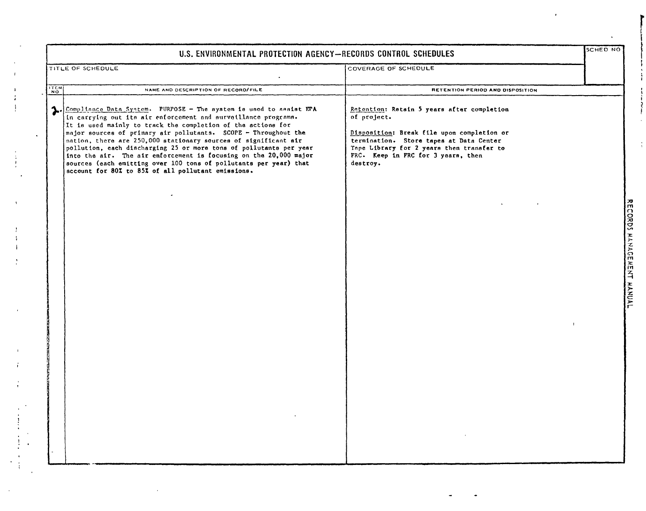|               | U.S. ENVIRONMENTAL PROTECTION AGENCY-RECORDS CONTROL SCHEDULES                                                                                                                                                                                                                                                                                                                                                                                                                                                                                                                                                   |                                                                                                                                                                                                                                                   | Isched No              |
|---------------|------------------------------------------------------------------------------------------------------------------------------------------------------------------------------------------------------------------------------------------------------------------------------------------------------------------------------------------------------------------------------------------------------------------------------------------------------------------------------------------------------------------------------------------------------------------------------------------------------------------|---------------------------------------------------------------------------------------------------------------------------------------------------------------------------------------------------------------------------------------------------|------------------------|
|               | TITLE OF SCHEDULE                                                                                                                                                                                                                                                                                                                                                                                                                                                                                                                                                                                                | COVERAGE OF SCHEDULE                                                                                                                                                                                                                              |                        |
| $\frac{1}{N}$ | NAME AND DESCRIPTION OF RECORD/FILE                                                                                                                                                                                                                                                                                                                                                                                                                                                                                                                                                                              | RETENTION PERIOD AND DISPOSITION                                                                                                                                                                                                                  |                        |
| 1.            | Compliance Data Syntem. PURPOSE - The system is used to assist EPA<br>In carrying out its air enforcement and surveillance programs.<br>It is used mainly to track the completion of the actions for<br>major sources of primary air pollutants. SCOPE - Throughout the<br>nation, there are 250,000 stationary sources of significant air<br>pollution, each discharging 25 or more tons of pollutants per year<br>into the air. The air enforcement is focusing on the 20,000 major<br>sources (each emitting over 100 tons of pollutants per year) that<br>account for 80% to 85% of all pollutant emissions. | Retention: Retain 5 years after completion<br>of project.<br>Disposition: Break file upon completion or<br>termination. Store tapes at Data Center<br>Tape Library for 2 years then transfer to<br>FRC. Keep in FRC for 3 years, then<br>destroy. | RECORDS WANGENT MANDAL |
|               |                                                                                                                                                                                                                                                                                                                                                                                                                                                                                                                                                                                                                  |                                                                                                                                                                                                                                                   |                        |

 $\,$   $\,$  $\frac{1}{2}$ 

 $\bar{\rm t}$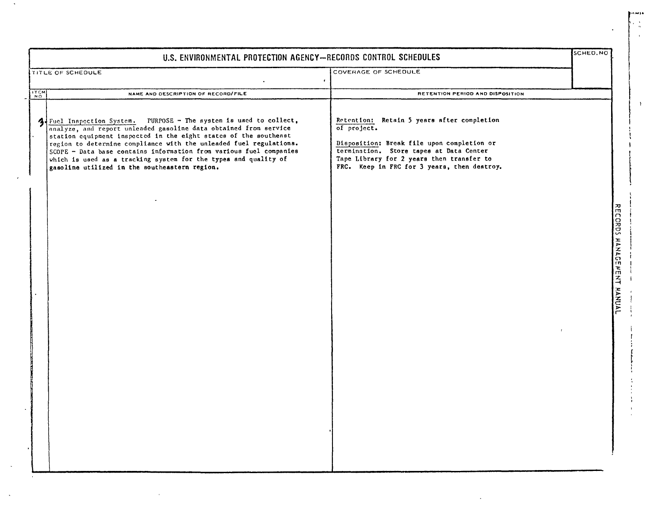|                                             | U.S. ENVIRONMENTAL PROTECTION AGENCY-RECORDS CONTROL SCHEDULES                                                                                                                                                                                                                                                                                                                                                                                                           |                                                                                                                                                                                                                                                | SCHED.NO                  |
|---------------------------------------------|--------------------------------------------------------------------------------------------------------------------------------------------------------------------------------------------------------------------------------------------------------------------------------------------------------------------------------------------------------------------------------------------------------------------------------------------------------------------------|------------------------------------------------------------------------------------------------------------------------------------------------------------------------------------------------------------------------------------------------|---------------------------|
|                                             | <b>TITLE OF SCHEDULE</b>                                                                                                                                                                                                                                                                                                                                                                                                                                                 | COVERAGE OF SCHEDULE<br>$\bullet$                                                                                                                                                                                                              |                           |
| $\begin{bmatrix} 1 \\ 2 \\ 0 \end{bmatrix}$ | NAME AND DESCRIPTION OF RECORD/FILE                                                                                                                                                                                                                                                                                                                                                                                                                                      | RETENTION PERIOD AND DISPOSITION                                                                                                                                                                                                               |                           |
| 4                                           | Fuel Inspection System. PURPOSE - The system is used to collect,<br>analyze, and report unleaded gasoline data obtained from service<br>station equipment inspected in the eight states of the southenst<br>region to determine compliance with the unleaded fuel regulations.<br>SCOPE - Data base contains information from various fuel companies<br>which is used as a tracking system for the types and quality of<br>gasoline utilized in the southeastern region. | Retention: Retain 5 years after completion<br>of project.<br>Disposition: Break file upon completion or<br>termination. Store tapes at Data Center<br>Tape Library for 2 years then transfer to<br>FRC. Keep in FRC for 3 years, then destroy. | RECORDS MANAGEMENT HANDAL |
|                                             |                                                                                                                                                                                                                                                                                                                                                                                                                                                                          |                                                                                                                                                                                                                                                |                           |

 $\omega$ 

 $\Lambda$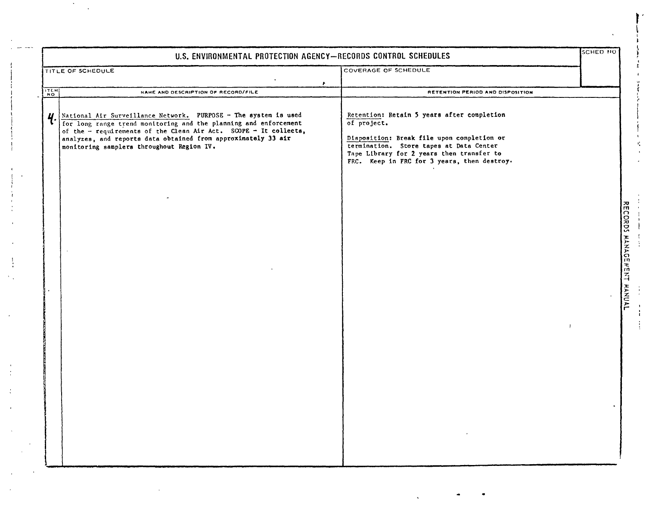| U.S. ENVIRONMENTAL PROTECTION AGENCY-RECORDS CONTROL SCHEDULES |                                                                                                                                                                                                                                                                                                                                                              |                                                                                                                                                                                                                                                                                    | SCHED NO |                                                                     |
|----------------------------------------------------------------|--------------------------------------------------------------------------------------------------------------------------------------------------------------------------------------------------------------------------------------------------------------------------------------------------------------------------------------------------------------|------------------------------------------------------------------------------------------------------------------------------------------------------------------------------------------------------------------------------------------------------------------------------------|----------|---------------------------------------------------------------------|
|                                                                | TITLE OF SCHEDULE                                                                                                                                                                                                                                                                                                                                            | COVERAGE OF SCHEDULE                                                                                                                                                                                                                                                               |          |                                                                     |
|                                                                | $\mathbf{r}$                                                                                                                                                                                                                                                                                                                                                 |                                                                                                                                                                                                                                                                                    |          |                                                                     |
| ITEM<br>Ч                                                      | NAME AND DESCRIPTION OF RECORD/FILE<br>National Air Surveillance Network. PURPOSE - The system is used<br>for long range trend monitoring and the planning and enforcement<br>of the - requirements of the Clean Air Act. SCOPE - It collects,<br>analyzes, and reports data obtained from approximately 33 air<br>monitoring samplers throughout Region IV. | RETENTION PERIOD AND DISPOSITION<br>Retention: Retain 5 years after completion<br>of project.<br>Disposition: Break file upon completion or<br>termination. Store tapes at Data Center<br>Tape Library for 2 years then transfer to<br>FRC. Keep in FRC for 3 years, then destroy. |          | $\frac{1}{2}$<br><b>CORDS</b><br><b>MANAGENENT</b><br><b>HANUAL</b> |

"I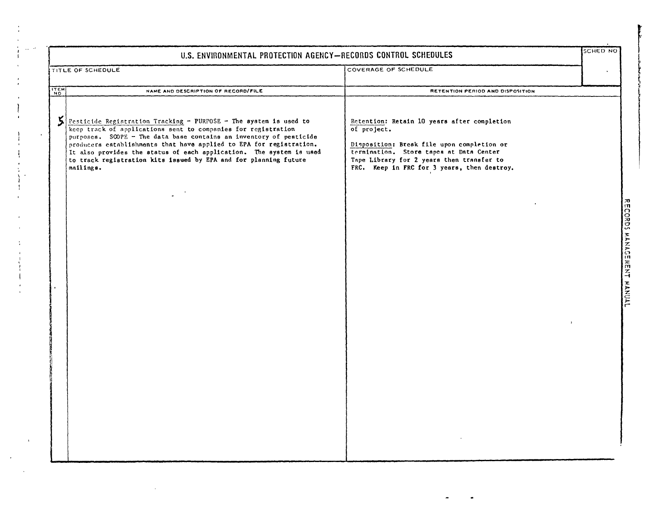|                    | U.S. ENVIRONMENTAL PROTECTION AGENCY-RECORDS CONTROL SCHEDULES                                                                                                                                                                                                                                                                                                                                                                          |                                                                                                                                                                                                                                                 |  |
|--------------------|-----------------------------------------------------------------------------------------------------------------------------------------------------------------------------------------------------------------------------------------------------------------------------------------------------------------------------------------------------------------------------------------------------------------------------------------|-------------------------------------------------------------------------------------------------------------------------------------------------------------------------------------------------------------------------------------------------|--|
|                    | TITLE OF SCHEDULE                                                                                                                                                                                                                                                                                                                                                                                                                       | COVERAGE OF SCHEDULE                                                                                                                                                                                                                            |  |
| $\frac{17.5M}{NQ}$ | NAME AND DESCRIPTION OF RECORD/FILE                                                                                                                                                                                                                                                                                                                                                                                                     | RETENTION PERIOD AND DISPOSITION                                                                                                                                                                                                                |  |
| 5                  | Pesticide Registration Tracking - PURPOSE - The system is used to<br>keep track of applications sent to companies for registration<br>purposes. SCOPE - The data base contains an inventory of pesticide<br>producers establishments that have applied to EPA for registration.<br>It also provides the status of each application. The system is used<br>to track registration kits issued by EPA and for planning future<br>mailings. | Retention: Retain 10 years after completion<br>of project.<br>Disposition: Break file upon completion or<br>termination. Store tapes at Data Center<br>Tape Library for 2 years then transfer to<br>FRC. Keep in FRC for 3 years, then destroy. |  |
|                    |                                                                                                                                                                                                                                                                                                                                                                                                                                         |                                                                                                                                                                                                                                                 |  |
|                    |                                                                                                                                                                                                                                                                                                                                                                                                                                         |                                                                                                                                                                                                                                                 |  |
|                    |                                                                                                                                                                                                                                                                                                                                                                                                                                         |                                                                                                                                                                                                                                                 |  |
|                    |                                                                                                                                                                                                                                                                                                                                                                                                                                         |                                                                                                                                                                                                                                                 |  |

 $\frac{1}{4}$ 

 $\mathfrak{t}$ 

 $\sum_{i=1}^{n}$ 

 $\mathcal{L}$ 

 $\mathcal{L}_{\rm{c}}$ 

 $\sim 10^{-10}$ 

 $\mathcal{A}^{(1)}$ 

 $\mathcal{L}(\mathcal{L}^{\mathcal{L}})$  and  $\mathcal{L}(\mathcal{L}^{\mathcal{L}})$  and  $\mathcal{L}(\mathcal{L}^{\mathcal{L}})$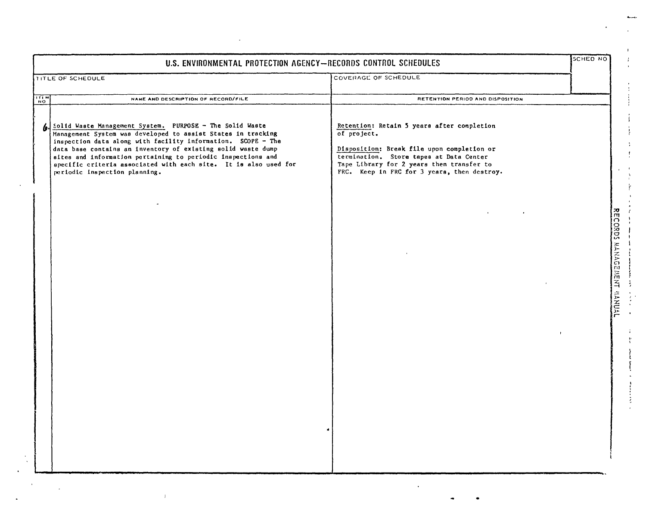|                 | U.S. ENVIRONMENTAL PROTECTION AGENCY-RECORDS CONTROL SCHEDULES                                                                                                                                                                                                                                                                                                                                                                |                                                                                                                                                                                                                                                | SCHED NO                 |
|-----------------|-------------------------------------------------------------------------------------------------------------------------------------------------------------------------------------------------------------------------------------------------------------------------------------------------------------------------------------------------------------------------------------------------------------------------------|------------------------------------------------------------------------------------------------------------------------------------------------------------------------------------------------------------------------------------------------|--------------------------|
|                 | TITLE OF SCHEDULE                                                                                                                                                                                                                                                                                                                                                                                                             | COVERAGE OF SCHEDULE                                                                                                                                                                                                                           |                          |
| $\frac{11}{10}$ | NAME AND DESCRIPTION OF RECORD/FILE                                                                                                                                                                                                                                                                                                                                                                                           | RETENTION PERIOD AND DISPOSITION                                                                                                                                                                                                               |                          |
| 6               | Solid Waste Management System. PURPOSE - The Solid Waste<br>Management System was developed to assist States in tracking<br>inspection data along with facility information. SCOPE - The<br>data base contains an inventory of existing solid waste dump<br>sites and information pertaining to periodic inspections and<br>specific criteria associated with each site. It is also used for<br>periodic inspection planning. | Retention: Retain 5 years after completion<br>of project.<br>Disposition: Break file upon completion or<br>termination. Store tapes at Data Center<br>Tape Library for 2 years then transfer to<br>FRC. Keep in FRC for 3 years, then destroy. |                          |
|                 |                                                                                                                                                                                                                                                                                                                                                                                                                               |                                                                                                                                                                                                                                                | RECORDS MANGEMENT MANUAL |

 $\sim$ 

 $\bar{t}$ 

 $\mathcal{V}^{\pm}$ 

 $\tilde{\star}$ 

 $\Delta \phi$ 

Ġ,

 $\sim T^2$